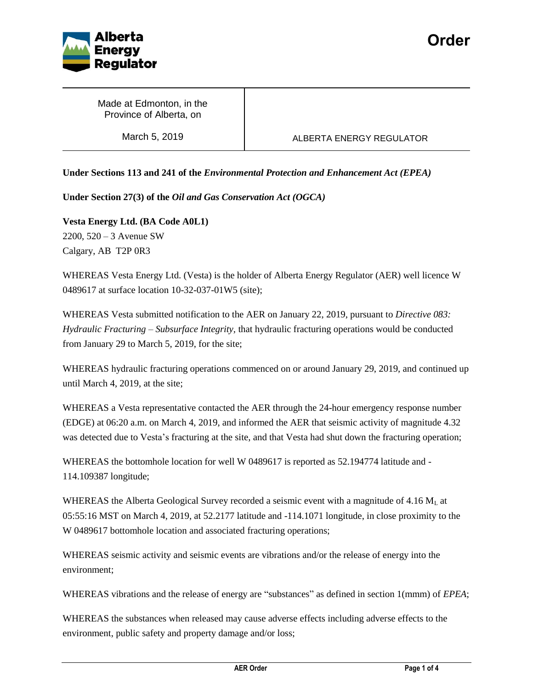

Made at Edmonton, in the Province of Alberta, on

# March 5, 2019 **ALBERTA ENERGY REGULATOR**

**Under Sections 113 and 241 of the** *Environmental Protection and Enhancement Act (EPEA)*

**Under Section 27(3) of the** *Oil and Gas Conservation Act (OGCA)*

**Vesta Energy Ltd. (BA Code A0L1)** 2200, 520 – 3 Avenue SW Calgary, AB T2P 0R3

WHEREAS Vesta Energy Ltd. (Vesta) is the holder of Alberta Energy Regulator (AER) well licence W 0489617 at surface location 10-32-037-01W5 (site);

WHEREAS Vesta submitted notification to the AER on January 22, 2019, pursuant to *Directive 083: Hydraulic Fracturing – Subsurface Integrity,* that hydraulic fracturing operations would be conducted from January 29 to March 5, 2019, for the site;

WHEREAS hydraulic fracturing operations commenced on or around January 29, 2019, and continued up until March 4, 2019, at the site;

WHEREAS a Vesta representative contacted the AER through the 24-hour emergency response number (EDGE) at 06:20 a.m. on March 4, 2019, and informed the AER that seismic activity of magnitude 4.32 was detected due to Vesta's fracturing at the site, and that Vesta had shut down the fracturing operation;

WHEREAS the bottomhole location for well W 0489617 is reported as 52.194774 latitude and - 114.109387 longitude;

WHEREAS the Alberta Geological Survey recorded a seismic event with a magnitude of 4.16  $M<sub>L</sub>$  at 05:55:16 MST on March 4, 2019, at 52.2177 latitude and -114.1071 longitude, in close proximity to the W 0489617 bottomhole location and associated fracturing operations;

WHEREAS seismic activity and seismic events are vibrations and/or the release of energy into the environment;

WHEREAS vibrations and the release of energy are "substances" as defined in section 1(mmm) of *EPEA*;

WHEREAS the substances when released may cause adverse effects including adverse effects to the environment, public safety and property damage and/or loss;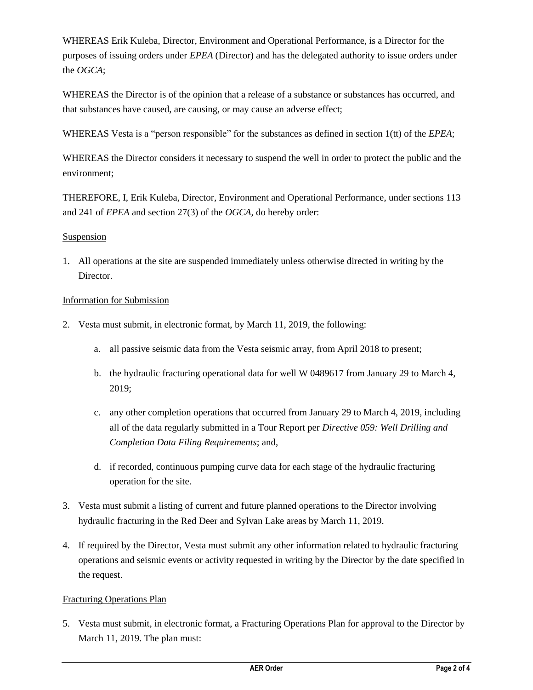WHEREAS Erik Kuleba, Director, Environment and Operational Performance, is a Director for the purposes of issuing orders under *EPEA* (Director) and has the delegated authority to issue orders under the *OGCA*;

WHEREAS the Director is of the opinion that a release of a substance or substances has occurred, and that substances have caused, are causing, or may cause an adverse effect;

WHEREAS Vesta is a "person responsible" for the substances as defined in section 1(tt) of the *EPEA*;

WHEREAS the Director considers it necessary to suspend the well in order to protect the public and the environment;

THEREFORE, I, Erik Kuleba, Director, Environment and Operational Performance, under sections 113 and 241 of *EPEA* and section 27(3) of the *OGCA*, do hereby order:

## Suspension

1. All operations at the site are suspended immediately unless otherwise directed in writing by the Director.

#### Information for Submission

- 2. Vesta must submit, in electronic format, by March 11, 2019, the following:
	- a. all passive seismic data from the Vesta seismic array, from April 2018 to present;
	- b. the hydraulic fracturing operational data for well W 0489617 from January 29 to March 4, 2019;
	- c. any other completion operations that occurred from January 29 to March 4, 2019, including all of the data regularly submitted in a Tour Report per *Directive 059: Well Drilling and Completion Data Filing Requirements*; and,
	- d. if recorded, continuous pumping curve data for each stage of the hydraulic fracturing operation for the site.
- 3. Vesta must submit a listing of current and future planned operations to the Director involving hydraulic fracturing in the Red Deer and Sylvan Lake areas by March 11, 2019.
- 4. If required by the Director, Vesta must submit any other information related to hydraulic fracturing operations and seismic events or activity requested in writing by the Director by the date specified in the request.

## Fracturing Operations Plan

5. Vesta must submit, in electronic format, a Fracturing Operations Plan for approval to the Director by March 11, 2019. The plan must: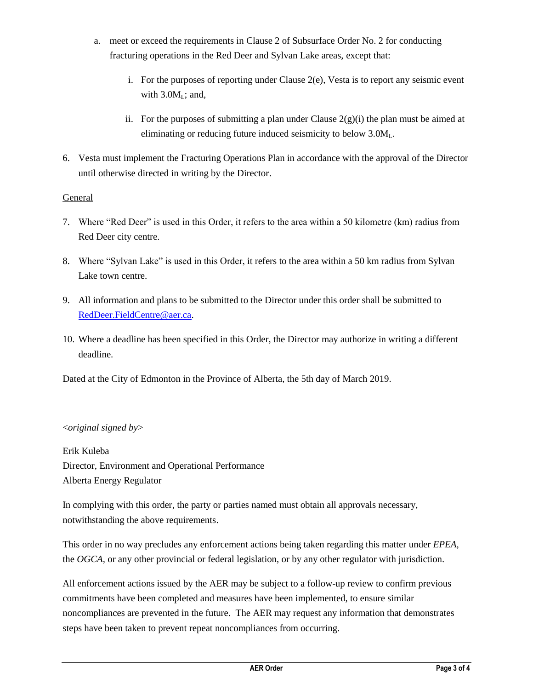- a. meet or exceed the requirements in Clause 2 of Subsurface Order No. 2 for conducting fracturing operations in the Red Deer and Sylvan Lake areas, except that:
	- i. For the purposes of reporting under Clause 2(e), Vesta is to report any seismic event with  $3.0M<sub>L</sub>$ ; and,
	- ii. For the purposes of submitting a plan under Clause  $2(g)(i)$  the plan must be aimed at eliminating or reducing future induced seismicity to below 3.0ML.
- 6. Vesta must implement the Fracturing Operations Plan in accordance with the approval of the Director until otherwise directed in writing by the Director.

## General

- 7. Where "Red Deer" is used in this Order, it refers to the area within a 50 kilometre (km) radius from Red Deer city centre.
- 8. Where "Sylvan Lake" is used in this Order, it refers to the area within a 50 km radius from Sylvan Lake town centre.
- 9. All information and plans to be submitted to the Director under this order shall be submitted to [RedDeer.FieldCentre@aer.ca.](mailto:RedDeer.FieldCentre@aer.ca)
- 10. Where a deadline has been specified in this Order, the Director may authorize in writing a different deadline.

Dated at the City of Edmonton in the Province of Alberta, the 5th day of March 2019.

#### <*original signed by*>

Erik Kuleba Director, Environment and Operational Performance Alberta Energy Regulator

In complying with this order, the party or parties named must obtain all approvals necessary, notwithstanding the above requirements.

This order in no way precludes any enforcement actions being taken regarding this matter under *EPEA,*  the *OGCA,* or any other provincial or federal legislation, or by any other regulator with jurisdiction.

All enforcement actions issued by the AER may be subject to a follow-up review to confirm previous commitments have been completed and measures have been implemented, to ensure similar noncompliances are prevented in the future. The AER may request any information that demonstrates steps have been taken to prevent repeat noncompliances from occurring.